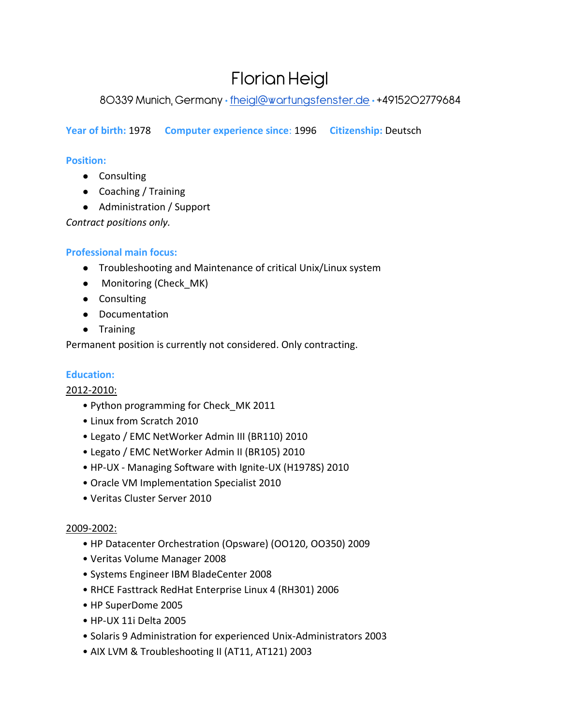# Florian Heigl

80339 Munich, Germany · [fheigl@wartungsfenster.de](mailto:fheigl@wartungsfenster.de) · +4915202779684

**Year of birth:** 1978 **Computer experience since**: 1996 **Citizenship:** Deutsch

# **Position:**

- Consulting
- Coaching / Training
- Administration / Support

*Contract positions only.*

# **Professional main focus:**

- Troubleshooting and Maintenance of critical Unix/Linux system
- Monitoring (Check\_MK)
- Consulting
- Documentation
- Training

Permanent position is currently not considered. Only contracting.

# **Education:**

2012-2010:

- Python programming for Check\_MK 2011
- Linux from Scratch 2010
- Legato / EMC NetWorker Admin III (BR110) 2010
- Legato / EMC NetWorker Admin II (BR105) 2010
- HP-UX Managing Software with Ignite-UX (H1978S) 2010
- Oracle VM Implementation Specialist 2010
- Veritas Cluster Server 2010

# 2009-2002:

- HP Datacenter Orchestration (Opsware) (OO120, OO350) 2009
- Veritas Volume Manager 2008
- Systems Engineer IBM BladeCenter 2008
- RHCE Fasttrack RedHat Enterprise Linux 4 (RH301) 2006
- HP SuperDome 2005
- HP-UX 11i Delta 2005
- Solaris 9 Administration for experienced Unix-Administrators 2003
- AIX LVM & Troubleshooting II (AT11, AT121) 2003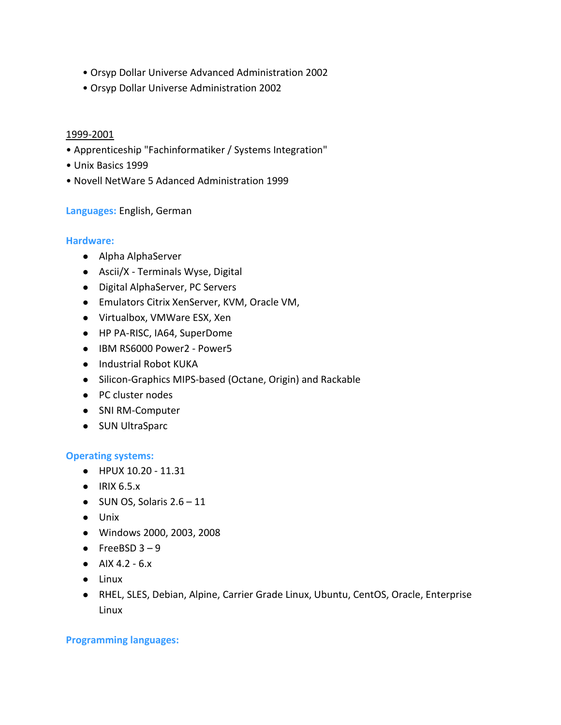- Orsyp Dollar Universe Advanced Administration 2002
- Orsyp Dollar Universe Administration 2002

#### 1999-2001

- Apprenticeship "Fachinformatiker / Systems Integration"
- Unix Basics 1999
- Novell NetWare 5 Adanced Administration 1999

#### **Languages:** English, German

#### **Hardware:**

- Alpha AlphaServer
- Ascii/X Terminals Wyse, Digital
- Digital AlphaServer, PC Servers
- Emulators Citrix XenServer, KVM, Oracle VM,
- Virtualbox, VMWare ESX, Xen
- HP PA-RISC, IA64, SuperDome
- IBM RS6000 Power2 Power5
- Industrial Robot KUKA
- Silicon-Graphics MIPS-based (Octane, Origin) and Rackable
- PC cluster nodes
- SNI RM-Computer
- SUN UltraSparc

#### **Operating systems:**

- HPUX 10.20 11.31
- IRIX 6.5.x
- $\bullet$  SUN OS, Solaris 2.6 11
- Unix
- Windows 2000, 2003, 2008
- $\bullet$  FreeBSD 3 9
- AIX 4.2  $6.x$
- Linux
- RHEL, SLES, Debian, Alpine, Carrier Grade Linux, Ubuntu, CentOS, Oracle, Enterprise Linux

#### **Programming languages:**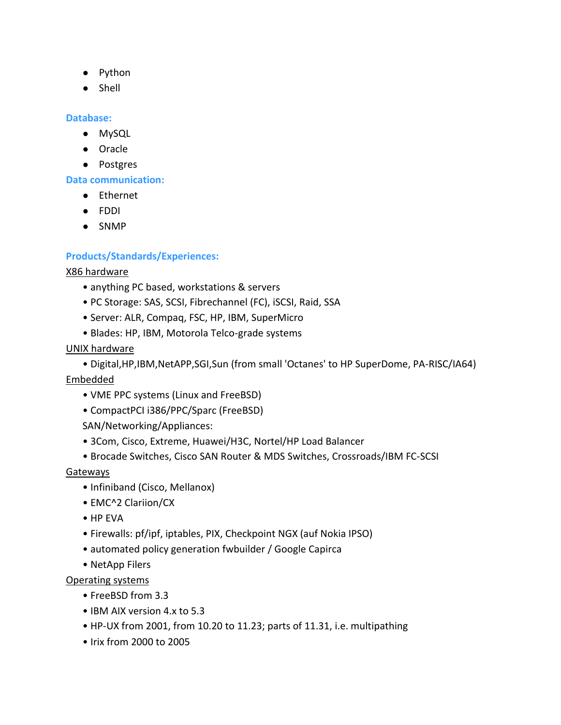- Python
- Shell

### **Database:**

- MySQL
- Oracle
- Postgres

**Data communication:**

- Ethernet
- FDDI
- SNMP

## **Products/Standards/Experiences:**

#### X86 hardware

- anything PC based, workstations & servers
- PC Storage: SAS, SCSI, Fibrechannel (FC), iSCSI, Raid, SSA
- Server: ALR, Compaq, FSC, HP, IBM, SuperMicro
- Blades: HP, IBM, Motorola Telco-grade systems
- UNIX hardware
	- Digital,HP,IBM,NetAPP,SGI,Sun (from small 'Octanes' to HP SuperDome, PA-RISC/IA64)

## Embedded

- VME PPC systems (Linux and FreeBSD)
- CompactPCI i386/PPC/Sparc (FreeBSD)

SAN/Networking/Appliances:

- 3Com, Cisco, Extreme, Huawei/H3C, Nortel/HP Load Balancer
- Brocade Switches, Cisco SAN Router & MDS Switches, Crossroads/IBM FC-SCSI

## **Gateways**

- Infiniband (Cisco, Mellanox)
- EMC^2 Clariion/CX
- HP EVA
- Firewalls: pf/ipf, iptables, PIX, Checkpoint NGX (auf Nokia IPSO)
- automated policy generation fwbuilder / Google Capirca
- NetApp Filers

## Operating systems

- FreeBSD from 3.3
- IBM AIX version 4.x to 5.3
- HP-UX from 2001, from 10.20 to 11.23; parts of 11.31, i.e. multipathing
- Irix from 2000 to 2005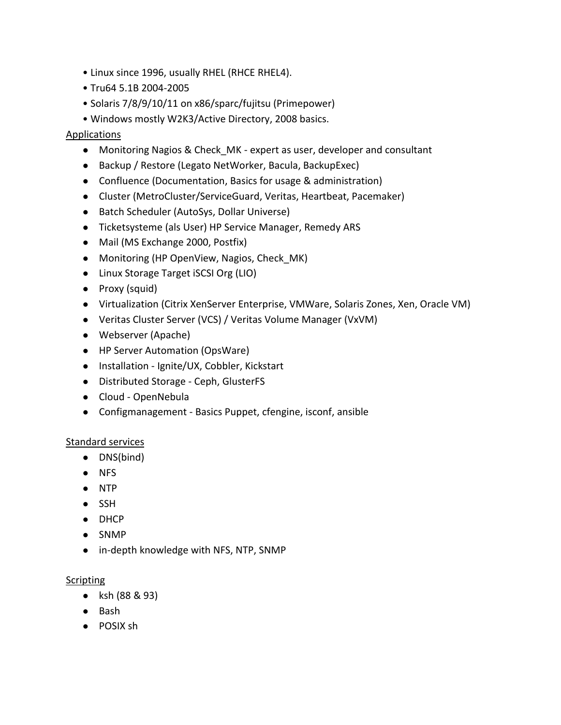- Linux since 1996, usually RHEL (RHCE RHEL4).
- Tru64 5.1B 2004-2005
- Solaris 7/8/9/10/11 on x86/sparc/fujitsu (Primepower)
- Windows mostly W2K3/Active Directory, 2008 basics.

#### Applications

- Monitoring Nagios & Check\_MK expert as user, developer and consultant
- Backup / Restore (Legato NetWorker, Bacula, BackupExec)
- Confluence (Documentation, Basics for usage & administration)
- Cluster (MetroCluster/ServiceGuard, Veritas, Heartbeat, Pacemaker)
- Batch Scheduler (AutoSys, Dollar Universe)
- Ticketsysteme (als User) HP Service Manager, Remedy ARS
- Mail (MS Exchange 2000, Postfix)
- Monitoring (HP OpenView, Nagios, Check MK)
- Linux Storage Target iSCSI Org (LIO)
- Proxy (squid)
- Virtualization (Citrix XenServer Enterprise, VMWare, Solaris Zones, Xen, Oracle VM)
- Veritas Cluster Server (VCS) / Veritas Volume Manager (VxVM)
- Webserver (Apache)
- HP Server Automation (OpsWare)
- Installation Ignite/UX, Cobbler, Kickstart
- Distributed Storage Ceph, GlusterFS
- Cloud OpenNebula
- Configmanagement Basics Puppet, cfengine, isconf, ansible

#### Standard services

- DNS(bind)
- NFS
- NTP
- SSH
- DHCP
- SNMP
- in-depth knowledge with NFS, NTP, SNMP

#### **Scripting**

- ksh (88 & 93)
- Bash
- POSIX sh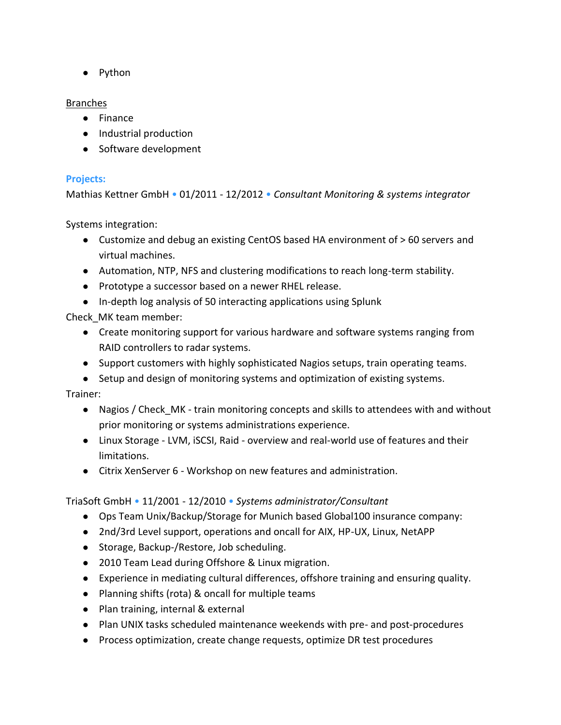● Python

## Branches

- Finance
- Industrial production
- Software development

## **Projects:**

Mathias Kettner GmbH • 01/2011 - 12/2012 • *Consultant Monitoring & systems integrator*

Systems integration:

- Customize and debug an existing CentOS based HA environment of > 60 servers and virtual machines.
- Automation, NTP, NFS and clustering modifications to reach long-term stability.
- Prototype a successor based on a newer RHEL release.
- In-depth log analysis of 50 interacting applications using Splunk

Check\_MK team member:

- Create monitoring support for various hardware and software systems ranging from RAID controllers to radar systems.
- Support customers with highly sophisticated Nagios setups, train operating teams.
- Setup and design of monitoring systems and optimization of existing systems.

Trainer:

- Nagios / Check MK train monitoring concepts and skills to attendees with and without prior monitoring or systems administrations experience.
- Linux Storage LVM, iSCSI, Raid overview and real-world use of features and their limitations.
- Citrix XenServer 6 Workshop on new features and administration.

TriaSoft GmbH • 11/2001 - 12/2010 • *Systems administrator/Consultant*

- Ops Team Unix/Backup/Storage for Munich based Global100 insurance company:
- 2nd/3rd Level support, operations and oncall for AIX, HP-UX, Linux, NetAPP
- Storage, Backup-/Restore, Job scheduling.
- 2010 Team Lead during Offshore & Linux migration.
- Experience in mediating cultural differences, offshore training and ensuring quality.
- Planning shifts (rota) & oncall for multiple teams
- Plan training, internal & external
- Plan UNIX tasks scheduled maintenance weekends with pre- and post-procedures
- Process optimization, create change requests, optimize DR test procedures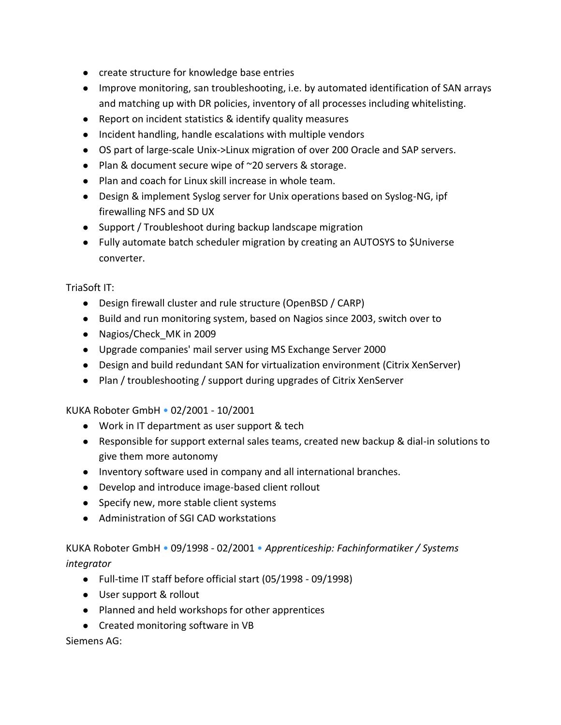- create structure for knowledge base entries
- Improve monitoring, san troubleshooting, i.e. by automated identification of SAN arrays and matching up with DR policies, inventory of all processes including whitelisting.
- Report on incident statistics & identify quality measures
- Incident handling, handle escalations with multiple vendors
- OS part of large-scale Unix->Linux migration of over 200 Oracle and SAP servers.
- Plan & document secure wipe of ~20 servers & storage.
- Plan and coach for Linux skill increase in whole team.
- Design & implement Syslog server for Unix operations based on Syslog-NG, ipf firewalling NFS and SD UX
- Support / Troubleshoot during backup landscape migration
- Fully automate batch scheduler migration by creating an AUTOSYS to \$Universe converter.

TriaSoft IT:

- Design firewall cluster and rule structure (OpenBSD / CARP)
- Build and run monitoring system, based on Nagios since 2003, switch over to
- Nagios/Check MK in 2009
- Upgrade companies' mail server using MS Exchange Server 2000
- Design and build redundant SAN for virtualization environment (Citrix XenServer)
- Plan / troubleshooting / support during upgrades of Citrix XenServer

KUKA Roboter GmbH • 02/2001 - 10/2001

- Work in IT department as user support & tech
- Responsible for support external sales teams, created new backup & dial-in solutions to give them more autonomy
- Inventory software used in company and all international branches.
- Develop and introduce image-based client rollout
- Specify new, more stable client systems
- Administration of SGI CAD workstations

KUKA Roboter GmbH • 09/1998 - 02/2001 • *Apprenticeship: Fachinformatiker / Systems integrator*

- Full-time IT staff before official start (05/1998 09/1998)
- User support & rollout
- Planned and held workshops for other apprentices
- Created monitoring software in VB

Siemens AG: